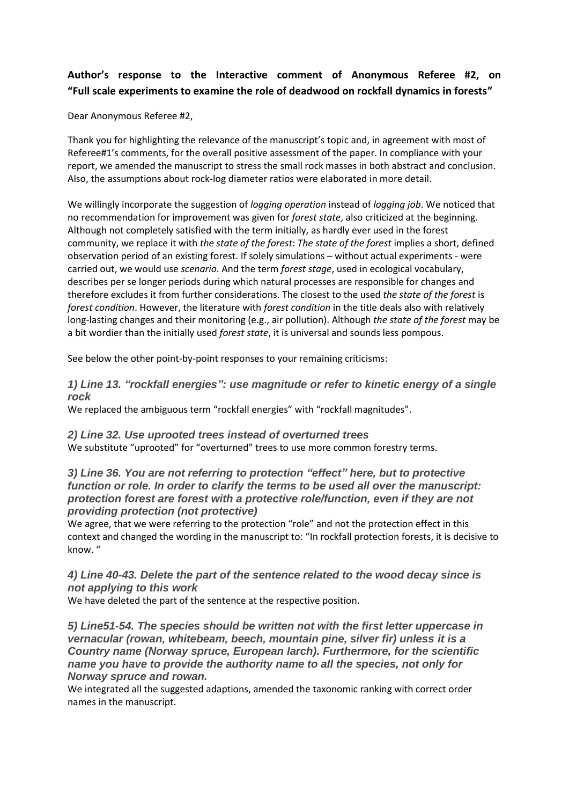# **Author's response to the Interactive comment of Anonymous Referee #2, on "Full scale experiments to examine the role of deadwood on rockfall dynamics in forests"**

Dear Anonymous Referee #2,

Thank you for highlighting the relevance of the manuscript's topic and, in agreement with most of Referee#1's comments, for the overall positive assessment of the paper. In compliance with your report, we amended the manuscript to stress the small rock masses in both abstract and conclusion. Also, the assumptions about rock-log diameter ratios were elaborated in more detail.

We willingly incorporate the suggestion of *logging operation* instead of *logging job*. We noticed that no recommendation for improvement was given for *forest state*, also criticized at the beginning. Although not completely satisfied with the term initially, as hardly ever used in the forest community, we replace it with *the state of the forest*: *The state of the forest* implies a short, defined observation period of an existing forest. If solely simulations – without actual experiments - were carried out, we would use *scenario*. And the term *forest stage*, used in ecological vocabulary, describes per se longer periods during which natural processes are responsible for changes and therefore excludes it from further considerations. The closest to the used *the state of the forest* is *forest condition*. However, the literature with *forest condition* in the title deals also with relatively long-lasting changes and their monitoring (e.g., air pollution). Although *the state of the forest* may be a bit wordier than the initially used *forest state*, it is universal and sounds less pompous.

See below the other point-by-point responses to your remaining criticisms:

*1) Line 13. "rockfall energies": use magnitude or refer to kinetic energy of a single rock*

We replaced the ambiguous term "rockfall energies" with "rockfall magnitudes".

*2) Line 32. Use uprooted trees instead of overturned trees* We substitute "uprooted" for "overturned" trees to use more common forestry terms.

### *3) Line 36. You are not referring to protection "effect" here, but to protective function or role. In order to clarify the terms to be used all over the manuscript: protection forest are forest with a protective role/function, even if they are not providing protection (not protective)*

We agree, that we were referring to the protection "role" and not the protection effect in this context and changed the wording in the manuscript to: "In rockfall protection forests, it is decisive to know. "

# *4) Line 40-43. Delete the part of the sentence related to the wood decay since is not applying to this work*

We have deleted the part of the sentence at the respective position.

*5) Line51-54. The species should be written not with the first letter uppercase in vernacular (rowan, whitebeam, beech, mountain pine, silver fir) unless it is a Country name (Norway spruce, European larch). Furthermore, for the scientific name you have to provide the authority name to all the species, not only for Norway spruce and rowan.*

We integrated all the suggested adaptions, amended the taxonomic ranking with correct order names in the manuscript.